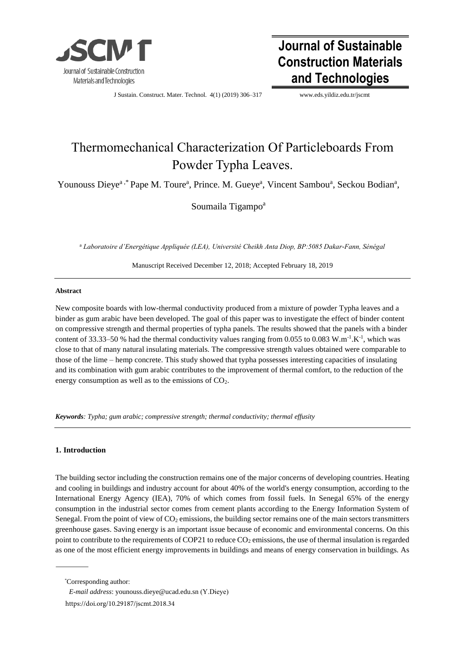

# **Journal of Sustainable Construction Materials and Technologies**

J Sustain. Construct. Mater. Technol. 4(1) (2019) 306–317 [www.e](http://www./)ds.yildiz.edu.tr/jscmt

# Thermomechanical Characterization Of Particleboards From Powder Typha Leaves.

Younouss Dieye<sup>a,\*</sup> Pape M. Toure<sup>a</sup>, Prince. M. Gueye<sup>a</sup>, Vincent Sambou<sup>a</sup>, Seckou Bodian<sup>a</sup>,

Soumaila Tigampo<sup>a</sup>

<sup>a</sup> *Laboratoire d'Energétique Appliquée (LEA), Université Cheikh Anta Diop, BP:5085 Dakar-Fann, Sénégal* 

Manuscript Received December 12, 2018; Accepted February 18, 2019

### **Abstract**

New composite boards with low-thermal conductivity produced from a mixture of powder Typha leaves and a binder as gum arabic have been developed. The goal of this paper was to investigate the effect of binder content on compressive strength and thermal properties of typha panels. The results showed that the panels with a binder content of 33.33–50 % had the thermal conductivity values ranging from 0.055 to 0.083 W.m<sup>-1</sup>.K<sup>-1</sup>, which was close to that of many natural insulating materials. The compressive strength values obtained were comparable to those of the lime – hemp concrete. This study showed that typha possesses interesting capacities of insulating and its combination with gum arabic contributes to the improvement of thermal comfort, to the reduction of the energy consumption as well as to the emissions of  $CO<sub>2</sub>$ .

*Keywords: Typha; gum arabic; compressive strength; thermal conductivity; thermal effusity* 

## **1. Introduction**

The building sector including the construction remains one of the major concerns of developing countries. Heating and cooling in buildings and industry account for about 40% of the world's energy consumption, according to the International Energy Agency (IEA), 70% of which comes from fossil fuels. In Senegal 65% of the energy consumption in the industrial sector comes from cement plants according to the Energy Information System of Senegal. From the point of view of  $CO<sub>2</sub>$  emissions, the building sector remains one of the main sectors transmitters greenhouse gases. Saving energy is an important issue because of economic and environmental concerns. On this point to contribute to the requirements of COP21 to reduce  $CO<sub>2</sub>$  emissions, the use of thermal insulation is regarded as one of the most efficient energy improvements in buildings and means of energy conservation in buildings. As

<sup>\*</sup>Corresponding author:

*E-mail address*[: younouss.dieye@ucad.e](mailto:younouss.dieye@ucad.edu.sn)du.sn (Y.Dieye)

https://doi.org/10.29187/jscmt.2018.34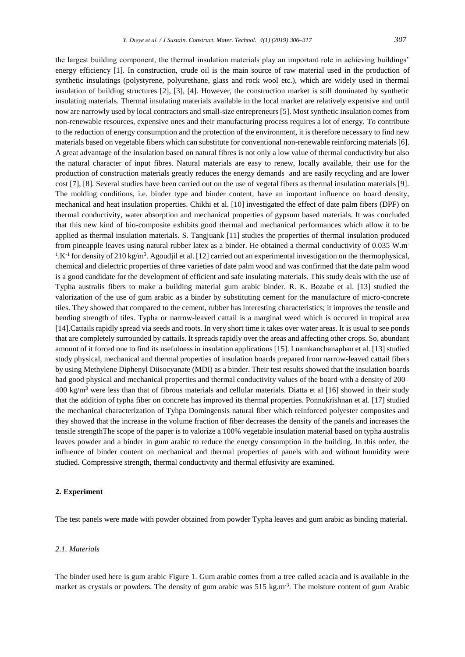the largest building component, the thermal insulation materials play an important role in achieving buildings' energy efficiency [1]. In construction, crude oil is the main source of raw material used in the production of synthetic insulatings (polystyrene, polyurethane, glass and rock wool etc.), which are widely used in thermal insulation of building structures [2], [3], [4]. However, the construction market is still dominated by synthetic insulating materials. Thermal insulating materials available in the local market are relatively expensive and until now are narrowly used by local contractors and small-size entrepreneurs [5]. Most synthetic insulation comes from non-renewable resources, expensive ones and their manufacturing process requires a lot of energy. To contribute to the reduction of energy consumption and the protection of the environment, it is therefore necessary to find new materials based on vegetable fibers which can substitute for conventional non-renewable reinforcing materials [6]. A great advantage of the insulation based on natural fibres is not only a low value of thermal conductivity but also the natural character of input fibres. Natural materials are easy to renew, locally available, their use for the production of construction materials greatly reduces the energy demands and are easily recycling and are lower cost [7], [8]. Several studies have been carried out on the use of vegetal fibers as thermal insulation materials [9]. The molding conditions, i.e. binder type and binder content, have an important influence on board density, mechanical and heat insulation properties. Chikhi et al. [10] investigated the effect of date palm fibers (DPF) on thermal conductivity, water absorption and mechanical properties of gypsum based materials. It was concluded that this new kind of bio-composite exhibits good thermal and mechanical performances which allow it to be applied as thermal insulation materials. S. Tangjuank [11] studies the properties of thermal insulation produced from pineapple leaves using natural rubber latex as a binder. He obtained a thermal conductivity of 0.035 W.m- $1.K^{-1}$  for density of 210 kg/m<sup>3</sup>. Agoudjil et al. [12] carried out an experimental investigation on the thermophysical, chemical and dielectric properties of three varieties of date palm wood and was confirmed that the date palm wood is a good candidate for the development of efficient and safe insulating materials. This study deals with the use of Typha australis fibers to make a building material gum arabic binder. R. K. Bozabe et al. [13] studied the valorization of the use of gum arabic as a binder by substituting cement for the manufacture of micro-concrete tiles. They showed that compared to the cement, rubber has interesting characteristics; it improves the tensile and bending strength of tiles. Typha or narrow-leaved cattail is a marginal weed which is occured in tropical area [14].Cattails rapidly spread via seeds and roots. In very short time it takes over water areas. It is usual to see ponds that are completely surrounded by cattails. It spreads rapidly over the areas and affecting other crops. So, abundant amount of it forced one to find its usefulness in insulation applications [15]. Luamkanchanaphan et al. [13] studied study physical, mechanical and thermal properties of insulation boards prepared from narrow-leaved cattail fibers by using Methylene Diphenyl Diisocyanate (MDI) as a binder. Their test results showed that the insulation boards had good physical and mechanical properties and thermal conductivity values of the board with a density of 200–  $400 \text{ kg/m}^3$  were less than that of fibrous materials and cellular materials. Diatta et al [16] showed in their study that the addition of typha fiber on concrete has improved its thermal properties. Ponnukrishnan et al. [17] studied the mechanical characterization of Tyhpa Domingensis natural fiber which reinforced polyester composites and they showed that the increase in the volume fraction of fiber decreases the density of the panels and increases the tensile strengthThe scope of the paper is to valorize a 100% vegetable insulation material based on typha australis leaves powder and a binder in gum arabic to reduce the energy consumption in the building. In this order, the influence of binder content on mechanical and thermal properties of panels with and without humidity were studied. Compressive strength, thermal conductivity and thermal effusivity are examined.

### **2. Experiment**

The test panels were made with powder obtained from powder Typha leaves and gum arabic as binding material.

#### *2.1. Materials*

The binder used here is gum arabic Figure 1. Gum arabic comes from a tree called acacia and is available in the market as crystals or powders. The density of gum arabic was 515 kg.m<sup>-3</sup>. The moisture content of gum Arabic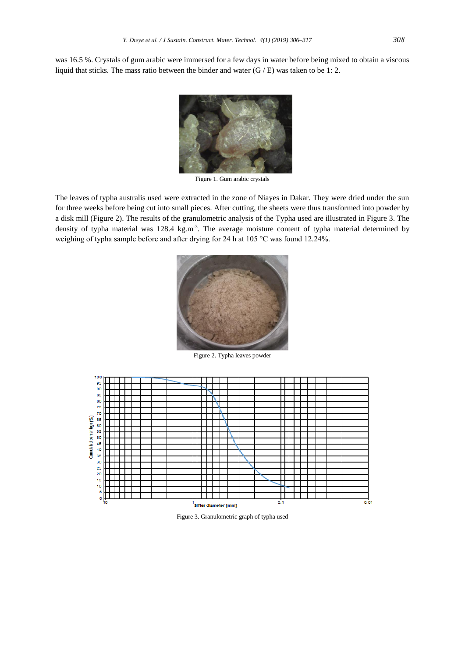was 16.5 %. Crystals of gum arabic were immersed for a few days in water before being mixed to obtain a viscous liquid that sticks. The mass ratio between the binder and water  $(G/E)$  was taken to be 1: 2.



Figure 1. Gum arabic crystals

The leaves of typha australis used were extracted in the zone of Niayes in Dakar. They were dried under the sun for three weeks before being cut into small pieces. After cutting, the sheets were thus transformed into powder by a disk mill (Figure 2). The results of the granulometric analysis of the Typha used are illustrated in Figure 3. The density of typha material was 128.4 kg.m<sup>-3</sup>. The average moisture content of typha material determined by weighing of typha sample before and after drying for 24 h at 105 °C was found 12.24%.



Figure 2. Typha leaves powder



Figure 3. Granulometric graph of typha used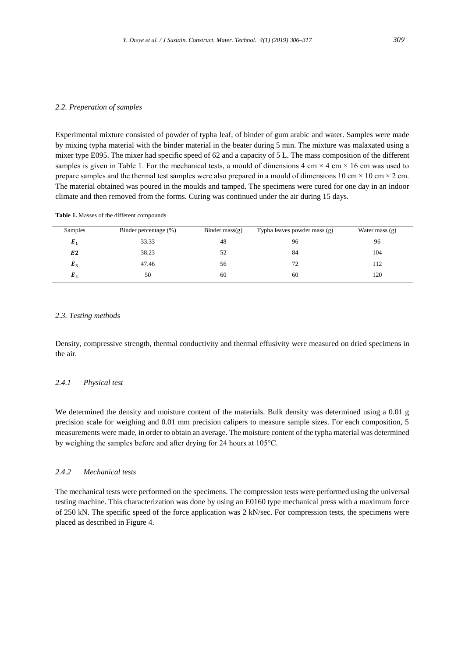#### *2.2. Preperation of samples*

Experimental mixture consisted of powder of typha leaf, of binder of gum arabic and water. Samples were made by mixing typha material with the binder material in the beater during 5 min. The mixture was malaxated using a mixer type E095. The mixer had specific speed of 62 and a capacity of 5 L. The mass composition of the different samples is given in Table 1. For the mechanical tests, a mould of dimensions 4 cm  $\times$  4 cm  $\times$  16 cm was used to prepare samples and the thermal test samples were also prepared in a mould of dimensions 10 cm  $\times$  10 cm  $\times$  2 cm. The material obtained was poured in the moulds and tamped. The specimens were cured for one day in an indoor climate and then removed from the forms. Curing was continued under the air during 15 days.

#### **Table 1.** Masses of the different compounds

| Samples        | Binder percentage (%) | Binder mass $(g)$ | Typha leaves powder mass (g) | Water mass $(g)$ |
|----------------|-----------------------|-------------------|------------------------------|------------------|
| $E_1$          | 33.33                 | 48                | 96                           | 96               |
| E <sub>2</sub> | 38.23                 | 52                | 84                           | 104              |
| $E_3$          | 47.46                 | 56                | 72                           | 112              |
| $E_{A}$        | 50                    | 60                | 60                           | 120              |

#### *2.3. Testing methods*

Density, compressive strength, thermal conductivity and thermal effusivity were measured on dried specimens in the air.

## *2.4.1 Physical test*

We determined the density and moisture content of the materials. Bulk density was determined using a 0.01 g precision scale for weighing and 0.01 mm precision calipers to measure sample sizes. For each composition, 5 measurements were made, in order to obtain an average. The moisture content of the typha material was determined by weighing the samples before and after drying for 24 hours at 105°C.

## *2.4.2 Mechanical tests*

The mechanical tests were performed on the specimens. The compression tests were performed using the universal testing machine. This characterization was done by using an E0160 type mechanical press with a maximum force of 250 kN. The specific speed of the force application was 2 kN/sec. For compression tests, the specimens were placed as described in Figure 4.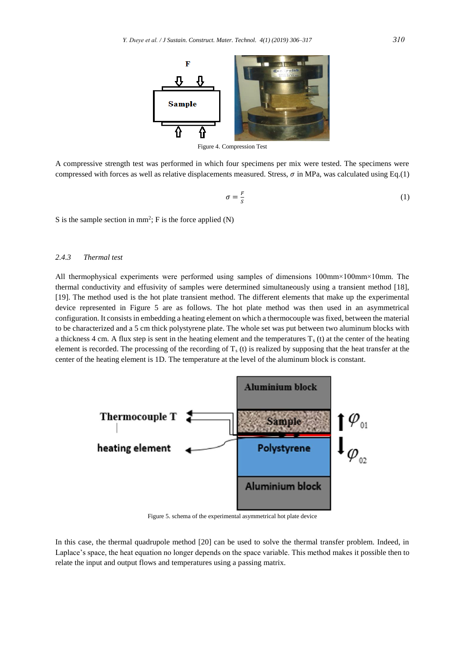

Figure 4. Compression Test

A compressive strength test was performed in which four specimens per mix were tested. The specimens were compressed with forces as well as relative displacements measured. Stress,  $\sigma$  in MPa, was calculated using Eq.(1)

$$
\sigma = \frac{F}{s} \tag{1}
$$

S is the sample section in  $mm^2$ ; F is the force applied (N)

## *2.4.3 Thermal test*

All thermophysical experiments were performed using samples of dimensions 100mm×100mm×10mm. The thermal conductivity and effusivity of samples were determined simultaneously using a transient method [18], [19]. The method used is the hot plate transient method. The different elements that make up the experimental device represented in Figure 5 are as follows. The hot plate method was then used in an asymmetrical configuration. It consists in embedding a heating element on which a thermocouple was fixed, between the material to be characterized and a 5 cm thick polystyrene plate. The whole set was put between two aluminum blocks with a thickness 4 cm. A flux step is sent in the heating element and the temperatures  $T_s(t)$  at the center of the heating element is recorded. The processing of the recording of  $T<sub>s</sub>$  (t) is realized by supposing that the heat transfer at the center of the heating element is 1D. The temperature at the level of the aluminum block is constant.



Figure 5. schema of the experimental asymmetrical hot plate device

In this case, the thermal quadrupole method [20] can be used to solve the thermal transfer problem. Indeed, in Laplace's space, the heat equation no longer depends on the space variable. This method makes it possible then to relate the input and output flows and temperatures using a passing matrix.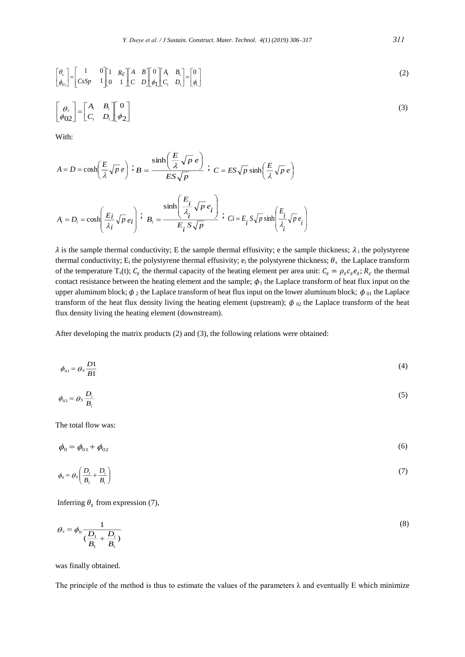$$
\begin{bmatrix} \theta_s \\ \phi_{01} \end{bmatrix} = \begin{bmatrix} 1 & 0 \\ CsSp & 1 \end{bmatrix} \begin{bmatrix} 1 & Re \\ 0 & 1 \end{bmatrix} \begin{bmatrix} A & B \\ C & D \end{bmatrix} \begin{bmatrix} 0 \\ \phi_1 \end{bmatrix} \begin{bmatrix} A_1 & B_1 \\ C_1 & D_1 \end{bmatrix} = \begin{bmatrix} 0 \\ \phi_1 \end{bmatrix}
$$
\n
$$
\begin{bmatrix} \theta_s \\ \phi_{02} \end{bmatrix} = \begin{bmatrix} A_i & B_i \\ C_i & D_i \end{bmatrix} \begin{bmatrix} 0 \\ \phi_2 \end{bmatrix}
$$
\n(3)

With:

$$
A = D = \cosh\left(\frac{E}{\lambda}\sqrt{p}e\right) \; ; \; B = \frac{\sinh\left(\frac{E}{\lambda}\sqrt{p}e\right)}{ES\sqrt{p}} \; ; \; C = ES\sqrt{p}\sinh\left(\frac{E}{\lambda}\sqrt{p}e\right)
$$
\n
$$
A_i = D_i = \cosh\left(\frac{E_i}{\lambda_i}\sqrt{p}e_i\right) \; ; \; B_i = \frac{\sinh\left(\frac{E_i}{\lambda_i}\sqrt{p}e_i\right)}{E_i\; S\sqrt{p}} \; ; \; C_i = E_i\; S\sqrt{p}\sinh\left(\frac{E_i}{\lambda_i}\sqrt{p}e_i\right)
$$

 $\lambda$  is the sample thermal conductivity; E the sample thermal effusivity; e the sample thickness;  $\lambda_i$  the polystyrene thermal conductivity;  $E_i$  the polystyrene thermal effusivity;  $e_i$  the polystyrene thickness;  $\theta_s$  the Laplace transform of the temperature  $T_s(t)$ ;  $C_s$  the thermal capacity of the heating element per area unit:  $C_s = \rho_s c_s e_s$ ;  $R_c$  the thermal contact resistance between the heating element and the sample;  $\phi_1$  the Laplace transform of heat flux input on the upper aluminum block;  $\phi_2$  the Laplace transform of heat flux input on the lower aluminum block;  $\phi_{01}$  the Laplace transform of the heat flux density living the heating element (upstream);  $\phi_{02}$  the Laplace transform of the heat flux density living the heating element (downstream).

After developing the matrix products (2) and (3), the following relations were obtained:

$$
\phi_{01} = \theta S \frac{D1}{B1} \tag{4}
$$

$$
\phi_{02} = \theta_s \frac{D_i}{B_i} \tag{5}
$$

The total flow was:

 $\phi_0 = \phi_{01} + \phi_{02}$ (6)

$$
\phi_0 = \theta_s \left( \frac{D_1}{B_1} + \frac{D_i}{B_i} \right) \tag{7}
$$

Inferring  $\theta_s$  from expression (7),

$$
\theta_s = \phi_0 \frac{1}{\left(\frac{D_1}{B_1} + \frac{D_i}{B_i}\right)}\tag{8}
$$

was finally obtained.

The principle of the method is thus to estimate the values of the parameters  $\lambda$  and eventually E which minimize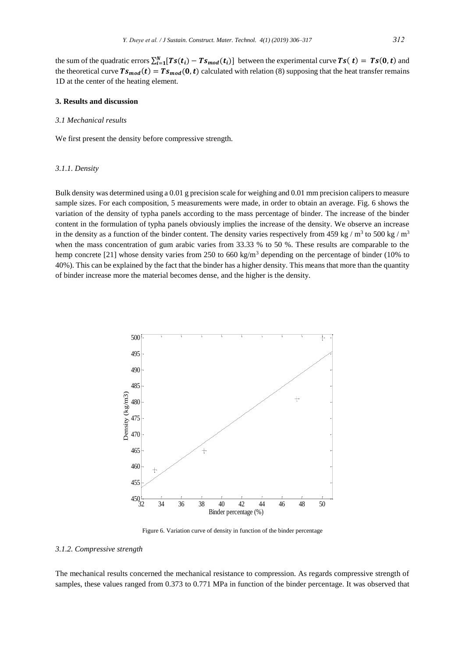the sum of the quadratic errors  $\sum_{i=1}^{N} [Ts(t_i) - Ts_{mod}(t_i)]$  between the experimental curve  $Ts(t) = Ts(0, t)$  and the theoretical curve  $Ts_{mod}(t) = Ts_{mod}(0, t)$  calculated with relation (8) supposing that the heat transfer remains 1D at the center of the heating element.

## **3. Results and discussion**

#### *3.1 Mechanical results*

We first present the density before compressive strength.

#### *3.1.1. Density*

Bulk density was determined using a 0.01 g precision scale for weighing and 0.01 mm precision calipers to measure sample sizes. For each composition, 5 measurements were made, in order to obtain an average. Fig. 6 shows the variation of the density of typha panels according to the mass percentage of binder. The increase of the binder content in the formulation of typha panels obviously implies the increase of the density. We observe an increase in the density as a function of the binder content. The density varies respectively from 459 kg /  $m^3$  to 500 kg /  $m^3$ when the mass concentration of gum arabic varies from 33.33 % to 50 %. These results are comparable to the hemp concrete [21] whose density varies from 250 to 660 kg/m<sup>3</sup> depending on the percentage of binder (10% to 40%). This can be explained by the fact that the binder has a higher density. This means that more than the quantity of binder increase more the material becomes dense, and the higher is the density.



Figure 6. Variation curve of density in function of the binder percentage

## *3.1.2. Compressive strength*

The mechanical results concerned the mechanical resistance to compression. As regards compressive strength of samples, these values ranged from 0.373 to 0.771 MPa in function of the binder percentage. It was observed that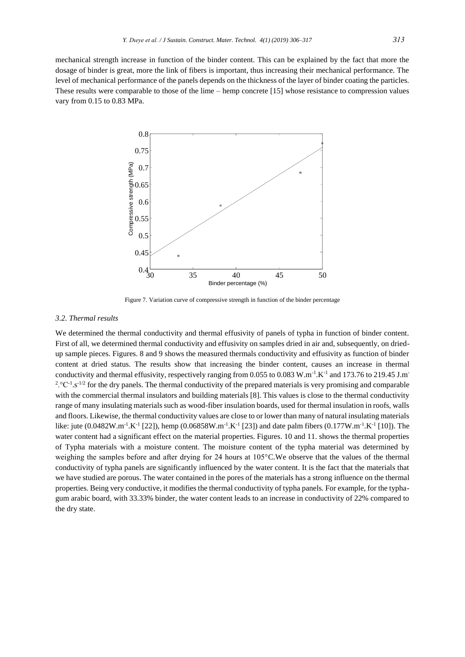mechanical strength increase in function of the binder content. This can be explained by the fact that more the dosage of binder is great, more the link of fibers is important, thus increasing their mechanical performance. The level of mechanical performance of the panels depends on the thickness of the layer of binder coating the particles. These results were comparable to those of the lime – hemp concrete [15] whose resistance to compression values vary from 0.15 to 0.83 MPa.



Figure 7. Variation curve of compressive strength in function of the binder percentage

### *3.2. Thermal results*

We determined the thermal conductivity and thermal effusivity of panels of typha in function of binder content. First of all, we determined thermal conductivity and effusivity on samples dried in air and, subsequently, on driedup sample pieces. Figures. 8 and 9 shows the measured thermals conductivity and effusivity as function of binder content at dried status. The results show that increasing the binder content, causes an increase in thermal conductivity and thermal effusivity, respectively ranging from 0.055 to 0.083 W.m<sup>-1</sup>.K<sup>-1</sup> and 173.76 to 219.45 J.m<sup>-</sup> <sup>2</sup>.  $^{\circ}$ C<sup>-1</sup>.s<sup>-1/2</sup> for the dry panels. The thermal conductivity of the prepared materials is very promising and comparable with the commercial thermal insulators and building materials [8]. This values is close to the thermal conductivity range of many insulating materials such as wood-fiber insulation boards, used for thermal insulation in roofs, walls and floors. Likewise, the thermal conductivity values are close to or lower than many of natural insulating materials like: jute (0.0482W.m<sup>-1</sup>.K<sup>-1</sup> [22]), hemp (0.06858W.m<sup>-1</sup>.K<sup>-1</sup> [23]) and date palm fibers (0.177W.m<sup>-1</sup>.K<sup>-1</sup> [10]). The water content had a significant effect on the material properties. Figures. 10 and 11. shows the thermal properties of Typha materials with a moisture content. The moisture content of the typha material was determined by weighing the samples before and after drying for 24 hours at 105°C.We observe that the values of the thermal conductivity of typha panels are significantly influenced by the water content. It is the fact that the materials that we have studied are porous. The water contained in the pores of the materials has a strong influence on the thermal properties. Being very conductive, it modifies the thermal conductivity of typha panels. For example, for the typhagum arabic board, with 33.33% binder, the water content leads to an increase in conductivity of 22% compared to the dry state.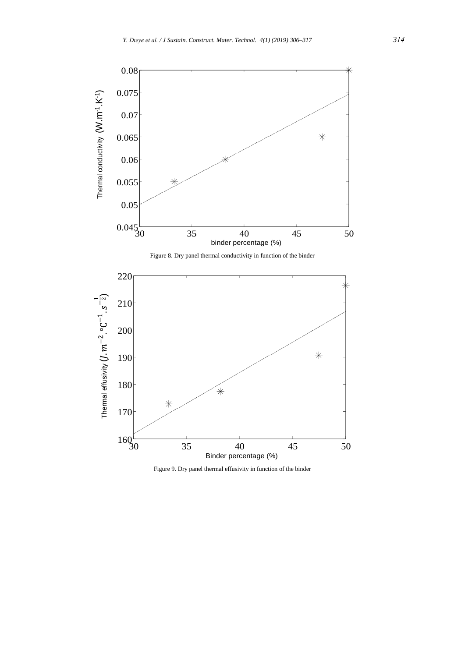

Figure 9. Dry panel thermal effusivity in function of the binder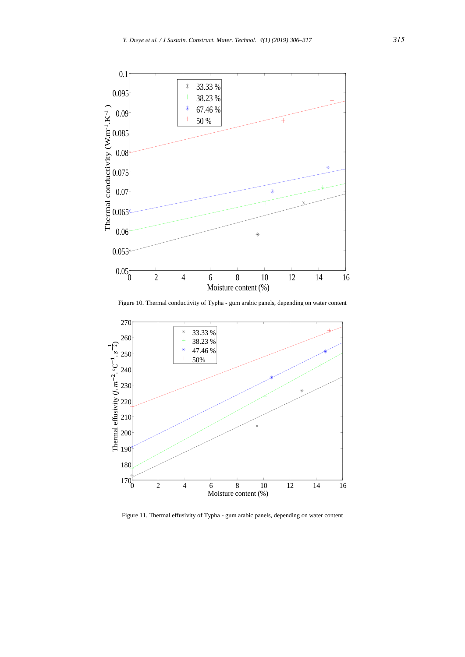

Figure 10. Thermal conductivity of Typha - gum arabic panels, depending on water content



Figure 11. Thermal effusivity of Typha - gum arabic panels, depending on water content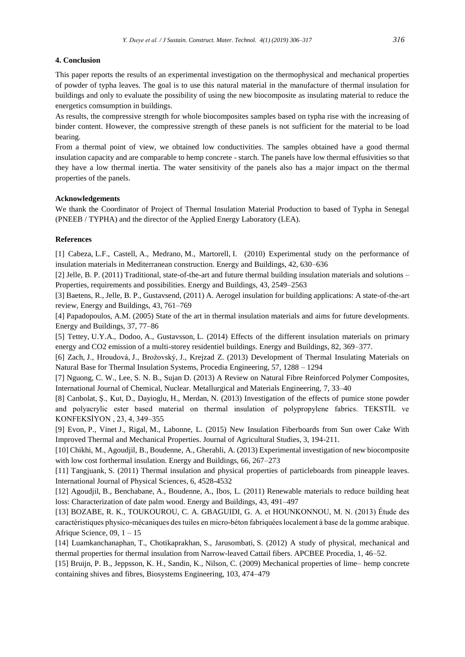## **4. Conclusion**

This paper reports the results of an experimental investigation on the thermophysical and mechanical properties of powder of typha leaves. The goal is to use this natural material in the manufacture of thermal insulation for buildings and only to evaluate the possibility of using the new biocomposite as insulating material to reduce the energetics comsumption in buildings.

As results, the compressive strength for whole biocomposites samples based on typha rise with the increasing of binder content. However, the compressive strength of these panels is not sufficient for the material to be load bearing.

From a thermal point of view, we obtained low conductivities. The samples obtained have a good thermal insulation capacity and are comparable to hemp concrete - starch. The panels have low thermal effusivities so that they have a low thermal inertia. The water sensitivity of the panels also has a major impact on the thermal properties of the panels.

#### **Acknowledgements**

We thank the Coordinator of Project of Thermal Insulation Material Production to based of Typha in Senegal (PNEEB / TYPHA) and the director of the Applied Energy Laboratory (LEA).

#### **References**

[1] Cabeza, L.F., Castell, A., Medrano, M., Martorell, I. (2010) Experimental study on the performance of insulation materials in Mediterranean construction. Energy and Buildings, 42, 630–636

[2] Jelle, B. P. (2011) Traditional, state-of-the-art and future thermal building insulation materials and solutions – Properties, requirements and possibilities. Energy and Buildings, 43, 2549–2563

[3] Baetens, R., Jelle, B. P., Gustavsend, (2011) A. Aerogel insulation for building applications: A state-of-the-art review, Energy and Buildings, 43, 761–769

[4] Papadopoulos, A.M. (2005) State of the art in thermal insulation materials and aims for future developments. Energy and Buildings, 37, 77–86

[5] Tettey, U.Y.A., Dodoo, A., Gustavsson, L. (2014) Effects of the different insulation materials on primary energy and CO2 emission of a multi-storey residentiel buildings. Energy and Buildings, 82, 369–377.

[6] Zach, J., Hroudová, J., Brožovský, J., Krejzad Z. (2013) Development of Thermal Insulating Materials on Natural Base for Thermal Insulation Systems, Procedia Engineering, 57, 1288 – 1294

[7] Nguong, C. W., Lee, S. N. B., Sujan D. (2013) A Review on Natural Fibre Reinforced Polymer Composites, International Journal of Chemical, Nuclear. Metallurgical and Materials Engineering, 7, 33–40

[8] Canbolat, Ş., Kut, D., Dayioglu, H., Merdan, N. (2013) Investigation of the effects of pumice stone powder and polyacrylic ester based material on thermal insulation of polypropylene fabrics. TEKSTİL ve KONFEKSİYON , 23, 4, 349–355

[9] Evon, P., Vinet J., Rigal, M., Labonne, L. (2015) New Insulation Fiberboards from Sun ower Cake With Improved Thermal and Mechanical Properties. Journal of Agricultural Studies, 3, 194-211.

[10] Chikhi, M., Agoudjil, B., Boudenne, A., Gherabli, A. (2013) Experimental investigation of new biocomposite with low cost forthermal insulation. Energy and Buildings, 66, 267–273

[11] Tangjuank, S. (2011) Thermal insulation and physical properties of particleboards from pineapple leaves. International Journal of Physical Sciences, 6, 4528-4532

[12] Agoudjil, B., Benchabane, A., Boudenne, A., Ibos, L. (2011) Renewable materials to reduce building heat loss: Characterization of date palm wood. Energy and Buildings, 43, 491–497

[13] BOZABE, R. K., TOUKOUROU, C. A. GBAGUIDI, G. A. et HOUNKONNOU, M. N. (2013) Étude des caractéristiques physico-mécaniques des tuiles en micro-béton fabriquées localement à base de la gomme arabique. Afrique Science, 09, 1 – 15

[14] Luamkanchanaphan, T., Chotikaprakhan, S., Jarusombati, S. (2012) A study of physical, mechanical and thermal properties for thermal insulation from Narrow-leaved Cattail fibers. APCBEE Procedia, 1, 46–52.

[15] Bruijn, P. B., Jeppsson, K. H., Sandin, K., Nilson, C. (2009) Mechanical properties of lime– hemp concrete containing shives and fibres, Biosystems Engineering, 103, 474–479